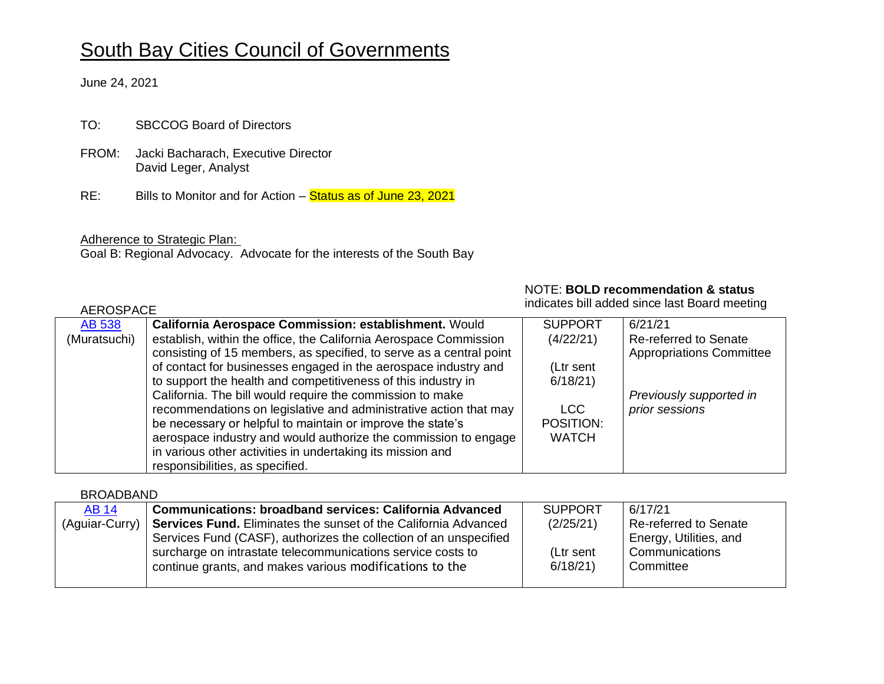# South Bay Cities Council of Governments

June 24, 2021

TO: SBCCOG Board of Directors

- FROM: Jacki Bacharach, Executive Director David Leger, Analyst
- RE: Bills to Monitor and for Action Status as of June 23, 2021

Adherence to Strategic Plan:

Goal B: Regional Advocacy. Advocate for the interests of the South Bay

#### NOTE: **BOLD recommendation & status**

indicates bill added since last Board meeting

| <b>AEROSPACE</b> |                                                                     |                | Indicates bill added since last Board meeting |
|------------------|---------------------------------------------------------------------|----------------|-----------------------------------------------|
| <b>AB 538</b>    | California Aerospace Commission: establishment. Would               | <b>SUPPORT</b> | 6/21/21                                       |
| (Muratsuchi)     | establish, within the office, the California Aerospace Commission   | (4/22/21)      | <b>Re-referred to Senate</b>                  |
|                  | consisting of 15 members, as specified, to serve as a central point |                | <b>Appropriations Committee</b>               |
|                  | of contact for businesses engaged in the aerospace industry and     | (Ltr sent      |                                               |
|                  | to support the health and competitiveness of this industry in       | 6/18/21        |                                               |
|                  | California. The bill would require the commission to make           |                | Previously supported in                       |
|                  | recommendations on legislative and administrative action that may   | <b>LCC</b>     | prior sessions                                |
|                  | be necessary or helpful to maintain or improve the state's          | POSITION:      |                                               |
|                  | aerospace industry and would authorize the commission to engage     | <b>WATCH</b>   |                                               |
|                  | in various other activities in undertaking its mission and          |                |                                               |
|                  | responsibilities, as specified.                                     |                |                                               |

BROADBAND

| <b>AB 14</b>   | <b>Communications: broadband services: California Advanced</b>                                                                                                                              | <b>SUPPORT</b>       | 6/17/21                                               |
|----------------|---------------------------------------------------------------------------------------------------------------------------------------------------------------------------------------------|----------------------|-------------------------------------------------------|
| (Aguiar-Curry) | Services Fund. Eliminates the sunset of the California Advanced                                                                                                                             | (2/25/21)            | Re-referred to Senate                                 |
|                | Services Fund (CASF), authorizes the collection of an unspecified<br>surcharge on intrastate telecommunications service costs to<br>continue grants, and makes various modifications to the | (Ltr sent<br>6/18/21 | Energy, Utilities, and<br>Communications<br>Committee |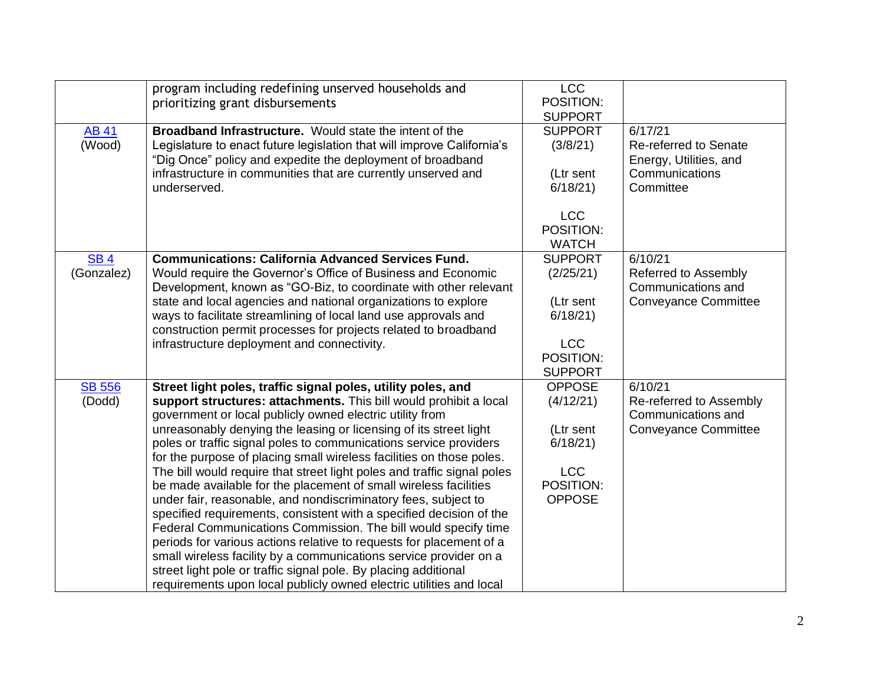|                          | program including redefining unserved households and<br>prioritizing grant disbursements                                                                                                                                                                                                                                                                                                                                                                                                                                                                                                                                                                                                                                                                                                                                                                                                                                                                                                                                                                        | <b>LCC</b><br>POSITION:<br><b>SUPPORT</b>                                                        |                                                                                           |
|--------------------------|-----------------------------------------------------------------------------------------------------------------------------------------------------------------------------------------------------------------------------------------------------------------------------------------------------------------------------------------------------------------------------------------------------------------------------------------------------------------------------------------------------------------------------------------------------------------------------------------------------------------------------------------------------------------------------------------------------------------------------------------------------------------------------------------------------------------------------------------------------------------------------------------------------------------------------------------------------------------------------------------------------------------------------------------------------------------|--------------------------------------------------------------------------------------------------|-------------------------------------------------------------------------------------------|
| <b>AB 41</b><br>(Wood)   | <b>Broadband Infrastructure.</b> Would state the intent of the<br>Legislature to enact future legislation that will improve California's<br>"Dig Once" policy and expedite the deployment of broadband<br>infrastructure in communities that are currently unserved and<br>underserved.                                                                                                                                                                                                                                                                                                                                                                                                                                                                                                                                                                                                                                                                                                                                                                         | <b>SUPPORT</b><br>(3/8/21)<br>(Ltr sent<br>6/18/21<br><b>LCC</b><br>POSITION:<br><b>WATCH</b>    | 6/17/21<br>Re-referred to Senate<br>Energy, Utilities, and<br>Communications<br>Committee |
| <b>SB4</b><br>(Gonzalez) | <b>Communications: California Advanced Services Fund.</b><br>Would require the Governor's Office of Business and Economic<br>Development, known as "GO-Biz, to coordinate with other relevant<br>state and local agencies and national organizations to explore<br>ways to facilitate streamlining of local land use approvals and<br>construction permit processes for projects related to broadband<br>infrastructure deployment and connectivity.                                                                                                                                                                                                                                                                                                                                                                                                                                                                                                                                                                                                            | <b>SUPPORT</b><br>(2/25/21)<br>(Ltr sent<br>6/18/21<br><b>LCC</b><br>POSITION:<br><b>SUPPORT</b> | 6/10/21<br>Referred to Assembly<br>Communications and<br><b>Conveyance Committee</b>      |
| <b>SB 556</b><br>(Dodd)  | Street light poles, traffic signal poles, utility poles, and<br>support structures: attachments. This bill would prohibit a local<br>government or local publicly owned electric utility from<br>unreasonably denying the leasing or licensing of its street light<br>poles or traffic signal poles to communications service providers<br>for the purpose of placing small wireless facilities on those poles.<br>The bill would require that street light poles and traffic signal poles<br>be made available for the placement of small wireless facilities<br>under fair, reasonable, and nondiscriminatory fees, subject to<br>specified requirements, consistent with a specified decision of the<br>Federal Communications Commission. The bill would specify time<br>periods for various actions relative to requests for placement of a<br>small wireless facility by a communications service provider on a<br>street light pole or traffic signal pole. By placing additional<br>requirements upon local publicly owned electric utilities and local | <b>OPPOSE</b><br>(4/12/21)<br>(Ltr sent<br>6/18/21<br><b>LCC</b><br>POSITION:<br><b>OPPOSE</b>   | 6/10/21<br>Re-referred to Assembly<br>Communications and<br><b>Conveyance Committee</b>   |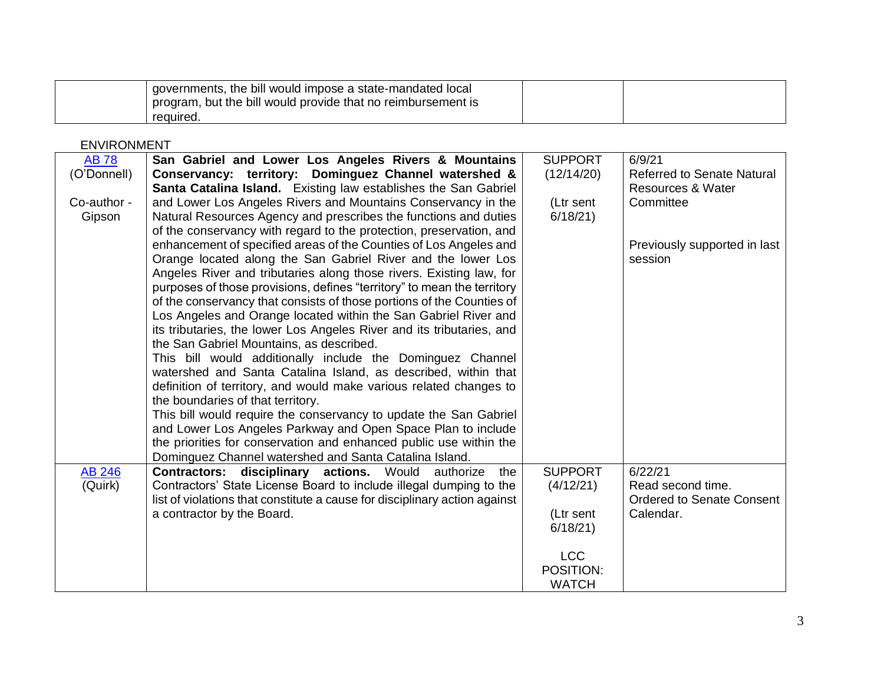| governments, the bill would impose a state-mandated local<br>program, but the bill would provide that no reimbursement is |  |
|---------------------------------------------------------------------------------------------------------------------------|--|
| reauired.                                                                                                                 |  |

### ENVIRONMENT

| <b>AB78</b>              | San Gabriel and Lower Los Angeles Rivers & Mountains                                                                                                                                                                                                                                                                                                                                                                                           | <b>SUPPORT</b>                                                                                 | 6/9/21                                                             |
|--------------------------|------------------------------------------------------------------------------------------------------------------------------------------------------------------------------------------------------------------------------------------------------------------------------------------------------------------------------------------------------------------------------------------------------------------------------------------------|------------------------------------------------------------------------------------------------|--------------------------------------------------------------------|
| (O'Donnell)              | Conservancy: territory: Dominguez Channel watershed &                                                                                                                                                                                                                                                                                                                                                                                          | (12/14/20)                                                                                     | <b>Referred to Senate Natural</b>                                  |
|                          | Santa Catalina Island. Existing law establishes the San Gabriel                                                                                                                                                                                                                                                                                                                                                                                |                                                                                                | Resources & Water                                                  |
| Co-author -              | and Lower Los Angeles Rivers and Mountains Conservancy in the                                                                                                                                                                                                                                                                                                                                                                                  | (Ltr sent                                                                                      | Committee                                                          |
| Gipson                   | Natural Resources Agency and prescribes the functions and duties                                                                                                                                                                                                                                                                                                                                                                               | 6/18/21                                                                                        |                                                                    |
|                          | of the conservancy with regard to the protection, preservation, and                                                                                                                                                                                                                                                                                                                                                                            |                                                                                                |                                                                    |
|                          | enhancement of specified areas of the Counties of Los Angeles and                                                                                                                                                                                                                                                                                                                                                                              |                                                                                                | Previously supported in last                                       |
|                          | Orange located along the San Gabriel River and the lower Los                                                                                                                                                                                                                                                                                                                                                                                   |                                                                                                | session                                                            |
|                          | Angeles River and tributaries along those rivers. Existing law, for                                                                                                                                                                                                                                                                                                                                                                            |                                                                                                |                                                                    |
|                          | purposes of those provisions, defines "territory" to mean the territory                                                                                                                                                                                                                                                                                                                                                                        |                                                                                                |                                                                    |
|                          | of the conservancy that consists of those portions of the Counties of                                                                                                                                                                                                                                                                                                                                                                          |                                                                                                |                                                                    |
|                          | Los Angeles and Orange located within the San Gabriel River and                                                                                                                                                                                                                                                                                                                                                                                |                                                                                                |                                                                    |
|                          | its tributaries, the lower Los Angeles River and its tributaries, and                                                                                                                                                                                                                                                                                                                                                                          |                                                                                                |                                                                    |
|                          | the San Gabriel Mountains, as described.                                                                                                                                                                                                                                                                                                                                                                                                       |                                                                                                |                                                                    |
|                          | This bill would additionally include the Dominguez Channel                                                                                                                                                                                                                                                                                                                                                                                     |                                                                                                |                                                                    |
|                          | watershed and Santa Catalina Island, as described, within that                                                                                                                                                                                                                                                                                                                                                                                 |                                                                                                |                                                                    |
|                          | definition of territory, and would make various related changes to                                                                                                                                                                                                                                                                                                                                                                             |                                                                                                |                                                                    |
|                          | the boundaries of that territory.                                                                                                                                                                                                                                                                                                                                                                                                              |                                                                                                |                                                                    |
|                          | This bill would require the conservancy to update the San Gabriel                                                                                                                                                                                                                                                                                                                                                                              |                                                                                                |                                                                    |
|                          |                                                                                                                                                                                                                                                                                                                                                                                                                                                |                                                                                                |                                                                    |
|                          |                                                                                                                                                                                                                                                                                                                                                                                                                                                |                                                                                                |                                                                    |
|                          |                                                                                                                                                                                                                                                                                                                                                                                                                                                |                                                                                                |                                                                    |
|                          | the                                                                                                                                                                                                                                                                                                                                                                                                                                            |                                                                                                | 6/22/21                                                            |
|                          |                                                                                                                                                                                                                                                                                                                                                                                                                                                |                                                                                                |                                                                    |
|                          |                                                                                                                                                                                                                                                                                                                                                                                                                                                |                                                                                                |                                                                    |
|                          |                                                                                                                                                                                                                                                                                                                                                                                                                                                |                                                                                                |                                                                    |
|                          |                                                                                                                                                                                                                                                                                                                                                                                                                                                |                                                                                                |                                                                    |
|                          |                                                                                                                                                                                                                                                                                                                                                                                                                                                |                                                                                                |                                                                    |
|                          |                                                                                                                                                                                                                                                                                                                                                                                                                                                |                                                                                                |                                                                    |
|                          |                                                                                                                                                                                                                                                                                                                                                                                                                                                |                                                                                                |                                                                    |
|                          |                                                                                                                                                                                                                                                                                                                                                                                                                                                |                                                                                                |                                                                    |
| <b>AB 246</b><br>(Quirk) | and Lower Los Angeles Parkway and Open Space Plan to include<br>the priorities for conservation and enhanced public use within the<br>Dominguez Channel watershed and Santa Catalina Island.<br><b>Contractors: disciplinary actions.</b> Would<br>authorize<br>Contractors' State License Board to include illegal dumping to the<br>list of violations that constitute a cause for disciplinary action against<br>a contractor by the Board. | <b>SUPPORT</b><br>(4/12/21)<br>(Ltr sent<br>6/18/21<br><b>LCC</b><br>POSITION:<br><b>WATCH</b> | Read second time.<br><b>Ordered to Senate Consent</b><br>Calendar. |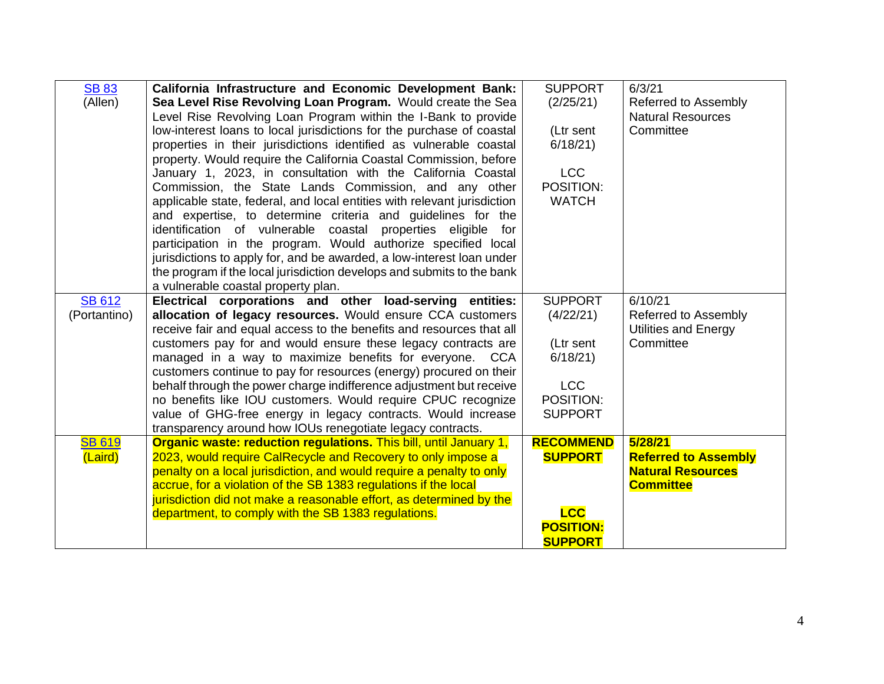| <b>SB 83</b>  | California Infrastructure and Economic Development Bank:                                                                   | <b>SUPPORT</b>          | 6/3/21                      |
|---------------|----------------------------------------------------------------------------------------------------------------------------|-------------------------|-----------------------------|
| (Allen)       | Sea Level Rise Revolving Loan Program. Would create the Sea                                                                | (2/25/21)               | Referred to Assembly        |
|               | Level Rise Revolving Loan Program within the I-Bank to provide                                                             |                         | <b>Natural Resources</b>    |
|               | low-interest loans to local jurisdictions for the purchase of coastal                                                      | (Ltr sent               | Committee                   |
|               | properties in their jurisdictions identified as vulnerable coastal                                                         | 6/18/21                 |                             |
|               | property. Would require the California Coastal Commission, before                                                          |                         |                             |
|               | January 1, 2023, in consultation with the California Coastal                                                               | <b>LCC</b>              |                             |
|               | Commission, the State Lands Commission, and any other                                                                      | POSITION:               |                             |
|               | applicable state, federal, and local entities with relevant jurisdiction                                                   | <b>WATCH</b>            |                             |
|               | and expertise, to determine criteria and guidelines for the                                                                |                         |                             |
|               | identification of vulnerable coastal properties eligible<br>for                                                            |                         |                             |
|               | participation in the program. Would authorize specified local                                                              |                         |                             |
|               | jurisdictions to apply for, and be awarded, a low-interest loan under                                                      |                         |                             |
|               | the program if the local jurisdiction develops and submits to the bank                                                     |                         |                             |
|               | a vulnerable coastal property plan.                                                                                        |                         |                             |
| <b>SB 612</b> | Electrical corporations and other load-serving entities:                                                                   | <b>SUPPORT</b>          | 6/10/21                     |
| (Portantino)  | allocation of legacy resources. Would ensure CCA customers                                                                 | (4/22/21)               | Referred to Assembly        |
|               | receive fair and equal access to the benefits and resources that all                                                       |                         | <b>Utilities and Energy</b> |
|               | customers pay for and would ensure these legacy contracts are                                                              | (Ltr sent               | Committee                   |
|               | managed in a way to maximize benefits for everyone. CCA                                                                    | 6/18/21                 |                             |
|               | customers continue to pay for resources (energy) procured on their                                                         |                         |                             |
|               | behalf through the power charge indifference adjustment but receive                                                        | <b>LCC</b><br>POSITION: |                             |
|               | no benefits like IOU customers. Would require CPUC recognize                                                               | <b>SUPPORT</b>          |                             |
|               | value of GHG-free energy in legacy contracts. Would increase<br>transparency around how IOUs renegotiate legacy contracts. |                         |                             |
| <b>SB 619</b> | Organic waste: reduction regulations. This bill, until January 1,                                                          | <b>RECOMMEND</b>        | 5/28/21                     |
| (Laird)       | 2023, would require CalRecycle and Recovery to only impose a                                                               | <b>SUPPORT</b>          | <b>Referred to Assembly</b> |
|               | penalty on a local jurisdiction, and would require a penalty to only                                                       |                         | <b>Natural Resources</b>    |
|               | accrue, for a violation of the SB 1383 regulations if the local                                                            |                         | <b>Committee</b>            |
|               | jurisdiction did not make a reasonable effort, as determined by the                                                        |                         |                             |
|               | department, to comply with the SB 1383 regulations.                                                                        | <b>LCC</b>              |                             |
|               |                                                                                                                            | <b>POSITION:</b>        |                             |
|               |                                                                                                                            | <b>SUPPORT</b>          |                             |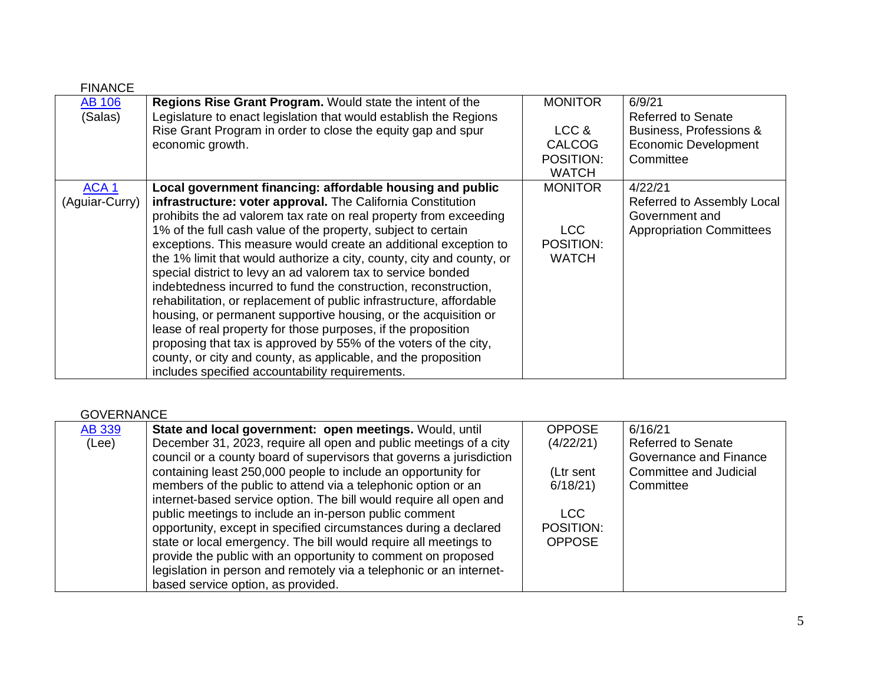| <b>FINANCE</b>   |                                                                       |                |                                 |
|------------------|-----------------------------------------------------------------------|----------------|---------------------------------|
| <b>AB 106</b>    | Regions Rise Grant Program. Would state the intent of the             | <b>MONITOR</b> | 6/9/21                          |
| (Salas)          | Legislature to enact legislation that would establish the Regions     |                | <b>Referred to Senate</b>       |
|                  | Rise Grant Program in order to close the equity gap and spur          | LCC &          | Business, Professions &         |
|                  | economic growth.                                                      | <b>CALCOG</b>  | Economic Development            |
|                  |                                                                       | POSITION:      | Committee                       |
|                  |                                                                       | <b>WATCH</b>   |                                 |
| ACA <sub>1</sub> | Local government financing: affordable housing and public             | <b>MONITOR</b> | 4/22/21                         |
| (Aguiar-Curry)   | infrastructure: voter approval. The California Constitution           |                | Referred to Assembly Local      |
|                  | prohibits the ad valorem tax rate on real property from exceeding     |                | Government and                  |
|                  | 1% of the full cash value of the property, subject to certain         | LCC            | <b>Appropriation Committees</b> |
|                  | exceptions. This measure would create an additional exception to      | POSITION:      |                                 |
|                  | the 1% limit that would authorize a city, county, city and county, or | <b>WATCH</b>   |                                 |
|                  | special district to levy an ad valorem tax to service bonded          |                |                                 |
|                  | indebtedness incurred to fund the construction, reconstruction,       |                |                                 |
|                  | rehabilitation, or replacement of public infrastructure, affordable   |                |                                 |
|                  | housing, or permanent supportive housing, or the acquisition or       |                |                                 |
|                  | lease of real property for those purposes, if the proposition         |                |                                 |
|                  | proposing that tax is approved by 55% of the voters of the city,      |                |                                 |
|                  | county, or city and county, as applicable, and the proposition        |                |                                 |
|                  | includes specified accountability requirements.                       |                |                                 |

## GOVERNANCE

| <b>AB 339</b> | State and local government: open meetings. Would, until              | <b>OPPOSE</b> | 6/16/21                   |
|---------------|----------------------------------------------------------------------|---------------|---------------------------|
| (Lee)         | December 31, 2023, require all open and public meetings of a city    | (4/22/21)     | <b>Referred to Senate</b> |
|               | council or a county board of supervisors that governs a jurisdiction |               | Governance and Finance    |
|               | containing least 250,000 people to include an opportunity for        | (Ltr sent     | Committee and Judicial    |
|               | members of the public to attend via a telephonic option or an        | 6/18/21       | Committee                 |
|               | internet-based service option. The bill would require all open and   |               |                           |
|               | public meetings to include an in-person public comment               | <b>LCC</b>    |                           |
|               | opportunity, except in specified circumstances during a declared     | POSITION:     |                           |
|               | state or local emergency. The bill would require all meetings to     | <b>OPPOSE</b> |                           |
|               | provide the public with an opportunity to comment on proposed        |               |                           |
|               | legislation in person and remotely via a telephonic or an internet-  |               |                           |
|               | based service option, as provided.                                   |               |                           |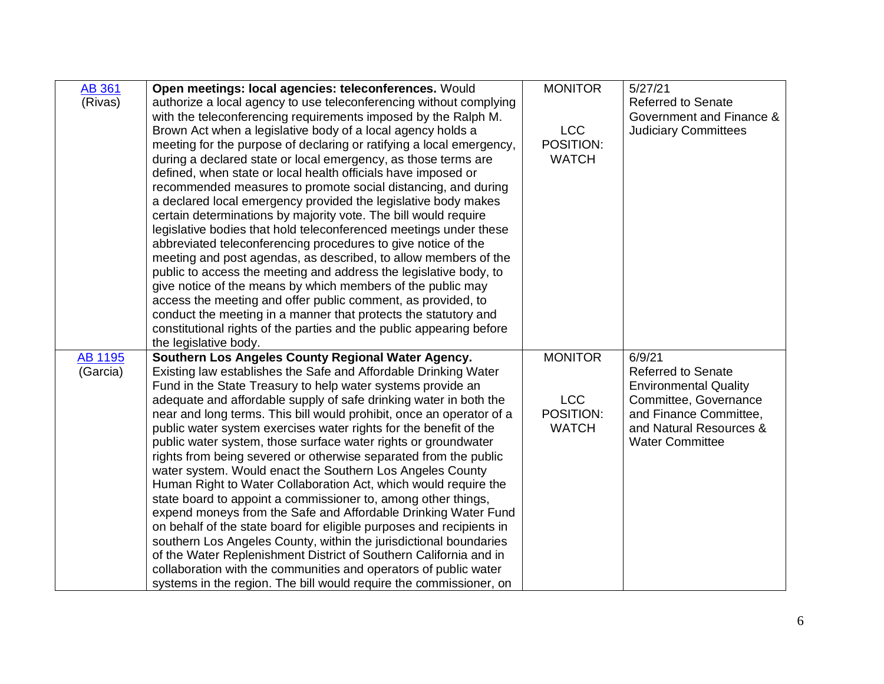| (Rivas)<br>authorize a local agency to use teleconferencing without complying<br><b>Referred to Senate</b><br>with the teleconferencing requirements imposed by the Ralph M.<br>Government and Finance &<br><b>LCC</b><br>Brown Act when a legislative body of a local agency holds a<br><b>Judiciary Committees</b><br>POSITION:<br>meeting for the purpose of declaring or ratifying a local emergency,<br>during a declared state or local emergency, as those terms are<br><b>WATCH</b><br>defined, when state or local health officials have imposed or<br>recommended measures to promote social distancing, and during<br>a declared local emergency provided the legislative body makes<br>certain determinations by majority vote. The bill would require<br>legislative bodies that hold teleconferenced meetings under these<br>abbreviated teleconferencing procedures to give notice of the<br>meeting and post agendas, as described, to allow members of the<br>public to access the meeting and address the legislative body, to<br>give notice of the means by which members of the public may<br>access the meeting and offer public comment, as provided, to<br>conduct the meeting in a manner that protects the statutory and<br>constitutional rights of the parties and the public appearing before<br>the legislative body.<br><b>MONITOR</b><br>6/9/21<br><b>AB 1195</b><br>Southern Los Angeles County Regional Water Agency.<br>(Garcia)<br>Existing law establishes the Safe and Affordable Drinking Water<br><b>Referred to Senate</b><br>Fund in the State Treasury to help water systems provide an<br><b>Environmental Quality</b><br><b>LCC</b><br>adequate and affordable supply of safe drinking water in both the<br>Committee, Governance<br>POSITION:<br>near and long terms. This bill would prohibit, once an operator of a<br>and Finance Committee, | <b>AB 361</b> | Open meetings: local agencies: teleconferences. Would | <b>MONITOR</b> | 5/27/21 |
|-----------------------------------------------------------------------------------------------------------------------------------------------------------------------------------------------------------------------------------------------------------------------------------------------------------------------------------------------------------------------------------------------------------------------------------------------------------------------------------------------------------------------------------------------------------------------------------------------------------------------------------------------------------------------------------------------------------------------------------------------------------------------------------------------------------------------------------------------------------------------------------------------------------------------------------------------------------------------------------------------------------------------------------------------------------------------------------------------------------------------------------------------------------------------------------------------------------------------------------------------------------------------------------------------------------------------------------------------------------------------------------------------------------------------------------------------------------------------------------------------------------------------------------------------------------------------------------------------------------------------------------------------------------------------------------------------------------------------------------------------------------------------------------------------------------------------------------------------------------------------------------------------|---------------|-------------------------------------------------------|----------------|---------|
|                                                                                                                                                                                                                                                                                                                                                                                                                                                                                                                                                                                                                                                                                                                                                                                                                                                                                                                                                                                                                                                                                                                                                                                                                                                                                                                                                                                                                                                                                                                                                                                                                                                                                                                                                                                                                                                                                               |               |                                                       |                |         |
|                                                                                                                                                                                                                                                                                                                                                                                                                                                                                                                                                                                                                                                                                                                                                                                                                                                                                                                                                                                                                                                                                                                                                                                                                                                                                                                                                                                                                                                                                                                                                                                                                                                                                                                                                                                                                                                                                               |               |                                                       |                |         |
|                                                                                                                                                                                                                                                                                                                                                                                                                                                                                                                                                                                                                                                                                                                                                                                                                                                                                                                                                                                                                                                                                                                                                                                                                                                                                                                                                                                                                                                                                                                                                                                                                                                                                                                                                                                                                                                                                               |               |                                                       |                |         |
|                                                                                                                                                                                                                                                                                                                                                                                                                                                                                                                                                                                                                                                                                                                                                                                                                                                                                                                                                                                                                                                                                                                                                                                                                                                                                                                                                                                                                                                                                                                                                                                                                                                                                                                                                                                                                                                                                               |               |                                                       |                |         |
|                                                                                                                                                                                                                                                                                                                                                                                                                                                                                                                                                                                                                                                                                                                                                                                                                                                                                                                                                                                                                                                                                                                                                                                                                                                                                                                                                                                                                                                                                                                                                                                                                                                                                                                                                                                                                                                                                               |               |                                                       |                |         |
|                                                                                                                                                                                                                                                                                                                                                                                                                                                                                                                                                                                                                                                                                                                                                                                                                                                                                                                                                                                                                                                                                                                                                                                                                                                                                                                                                                                                                                                                                                                                                                                                                                                                                                                                                                                                                                                                                               |               |                                                       |                |         |
|                                                                                                                                                                                                                                                                                                                                                                                                                                                                                                                                                                                                                                                                                                                                                                                                                                                                                                                                                                                                                                                                                                                                                                                                                                                                                                                                                                                                                                                                                                                                                                                                                                                                                                                                                                                                                                                                                               |               |                                                       |                |         |
|                                                                                                                                                                                                                                                                                                                                                                                                                                                                                                                                                                                                                                                                                                                                                                                                                                                                                                                                                                                                                                                                                                                                                                                                                                                                                                                                                                                                                                                                                                                                                                                                                                                                                                                                                                                                                                                                                               |               |                                                       |                |         |
|                                                                                                                                                                                                                                                                                                                                                                                                                                                                                                                                                                                                                                                                                                                                                                                                                                                                                                                                                                                                                                                                                                                                                                                                                                                                                                                                                                                                                                                                                                                                                                                                                                                                                                                                                                                                                                                                                               |               |                                                       |                |         |
|                                                                                                                                                                                                                                                                                                                                                                                                                                                                                                                                                                                                                                                                                                                                                                                                                                                                                                                                                                                                                                                                                                                                                                                                                                                                                                                                                                                                                                                                                                                                                                                                                                                                                                                                                                                                                                                                                               |               |                                                       |                |         |
|                                                                                                                                                                                                                                                                                                                                                                                                                                                                                                                                                                                                                                                                                                                                                                                                                                                                                                                                                                                                                                                                                                                                                                                                                                                                                                                                                                                                                                                                                                                                                                                                                                                                                                                                                                                                                                                                                               |               |                                                       |                |         |
|                                                                                                                                                                                                                                                                                                                                                                                                                                                                                                                                                                                                                                                                                                                                                                                                                                                                                                                                                                                                                                                                                                                                                                                                                                                                                                                                                                                                                                                                                                                                                                                                                                                                                                                                                                                                                                                                                               |               |                                                       |                |         |
|                                                                                                                                                                                                                                                                                                                                                                                                                                                                                                                                                                                                                                                                                                                                                                                                                                                                                                                                                                                                                                                                                                                                                                                                                                                                                                                                                                                                                                                                                                                                                                                                                                                                                                                                                                                                                                                                                               |               |                                                       |                |         |
|                                                                                                                                                                                                                                                                                                                                                                                                                                                                                                                                                                                                                                                                                                                                                                                                                                                                                                                                                                                                                                                                                                                                                                                                                                                                                                                                                                                                                                                                                                                                                                                                                                                                                                                                                                                                                                                                                               |               |                                                       |                |         |
|                                                                                                                                                                                                                                                                                                                                                                                                                                                                                                                                                                                                                                                                                                                                                                                                                                                                                                                                                                                                                                                                                                                                                                                                                                                                                                                                                                                                                                                                                                                                                                                                                                                                                                                                                                                                                                                                                               |               |                                                       |                |         |
|                                                                                                                                                                                                                                                                                                                                                                                                                                                                                                                                                                                                                                                                                                                                                                                                                                                                                                                                                                                                                                                                                                                                                                                                                                                                                                                                                                                                                                                                                                                                                                                                                                                                                                                                                                                                                                                                                               |               |                                                       |                |         |
|                                                                                                                                                                                                                                                                                                                                                                                                                                                                                                                                                                                                                                                                                                                                                                                                                                                                                                                                                                                                                                                                                                                                                                                                                                                                                                                                                                                                                                                                                                                                                                                                                                                                                                                                                                                                                                                                                               |               |                                                       |                |         |
|                                                                                                                                                                                                                                                                                                                                                                                                                                                                                                                                                                                                                                                                                                                                                                                                                                                                                                                                                                                                                                                                                                                                                                                                                                                                                                                                                                                                                                                                                                                                                                                                                                                                                                                                                                                                                                                                                               |               |                                                       |                |         |
|                                                                                                                                                                                                                                                                                                                                                                                                                                                                                                                                                                                                                                                                                                                                                                                                                                                                                                                                                                                                                                                                                                                                                                                                                                                                                                                                                                                                                                                                                                                                                                                                                                                                                                                                                                                                                                                                                               |               |                                                       |                |         |
|                                                                                                                                                                                                                                                                                                                                                                                                                                                                                                                                                                                                                                                                                                                                                                                                                                                                                                                                                                                                                                                                                                                                                                                                                                                                                                                                                                                                                                                                                                                                                                                                                                                                                                                                                                                                                                                                                               |               |                                                       |                |         |
|                                                                                                                                                                                                                                                                                                                                                                                                                                                                                                                                                                                                                                                                                                                                                                                                                                                                                                                                                                                                                                                                                                                                                                                                                                                                                                                                                                                                                                                                                                                                                                                                                                                                                                                                                                                                                                                                                               |               |                                                       |                |         |
|                                                                                                                                                                                                                                                                                                                                                                                                                                                                                                                                                                                                                                                                                                                                                                                                                                                                                                                                                                                                                                                                                                                                                                                                                                                                                                                                                                                                                                                                                                                                                                                                                                                                                                                                                                                                                                                                                               |               |                                                       |                |         |
|                                                                                                                                                                                                                                                                                                                                                                                                                                                                                                                                                                                                                                                                                                                                                                                                                                                                                                                                                                                                                                                                                                                                                                                                                                                                                                                                                                                                                                                                                                                                                                                                                                                                                                                                                                                                                                                                                               |               |                                                       |                |         |
| <b>WATCH</b><br>and Natural Resources &<br>public water system exercises water rights for the benefit of the                                                                                                                                                                                                                                                                                                                                                                                                                                                                                                                                                                                                                                                                                                                                                                                                                                                                                                                                                                                                                                                                                                                                                                                                                                                                                                                                                                                                                                                                                                                                                                                                                                                                                                                                                                                  |               |                                                       |                |         |
| public water system, those surface water rights or groundwater<br><b>Water Committee</b>                                                                                                                                                                                                                                                                                                                                                                                                                                                                                                                                                                                                                                                                                                                                                                                                                                                                                                                                                                                                                                                                                                                                                                                                                                                                                                                                                                                                                                                                                                                                                                                                                                                                                                                                                                                                      |               |                                                       |                |         |
| rights from being severed or otherwise separated from the public                                                                                                                                                                                                                                                                                                                                                                                                                                                                                                                                                                                                                                                                                                                                                                                                                                                                                                                                                                                                                                                                                                                                                                                                                                                                                                                                                                                                                                                                                                                                                                                                                                                                                                                                                                                                                              |               |                                                       |                |         |
| water system. Would enact the Southern Los Angeles County                                                                                                                                                                                                                                                                                                                                                                                                                                                                                                                                                                                                                                                                                                                                                                                                                                                                                                                                                                                                                                                                                                                                                                                                                                                                                                                                                                                                                                                                                                                                                                                                                                                                                                                                                                                                                                     |               |                                                       |                |         |
| Human Right to Water Collaboration Act, which would require the                                                                                                                                                                                                                                                                                                                                                                                                                                                                                                                                                                                                                                                                                                                                                                                                                                                                                                                                                                                                                                                                                                                                                                                                                                                                                                                                                                                                                                                                                                                                                                                                                                                                                                                                                                                                                               |               |                                                       |                |         |
| state board to appoint a commissioner to, among other things,                                                                                                                                                                                                                                                                                                                                                                                                                                                                                                                                                                                                                                                                                                                                                                                                                                                                                                                                                                                                                                                                                                                                                                                                                                                                                                                                                                                                                                                                                                                                                                                                                                                                                                                                                                                                                                 |               |                                                       |                |         |
| expend moneys from the Safe and Affordable Drinking Water Fund                                                                                                                                                                                                                                                                                                                                                                                                                                                                                                                                                                                                                                                                                                                                                                                                                                                                                                                                                                                                                                                                                                                                                                                                                                                                                                                                                                                                                                                                                                                                                                                                                                                                                                                                                                                                                                |               |                                                       |                |         |
| on behalf of the state board for eligible purposes and recipients in                                                                                                                                                                                                                                                                                                                                                                                                                                                                                                                                                                                                                                                                                                                                                                                                                                                                                                                                                                                                                                                                                                                                                                                                                                                                                                                                                                                                                                                                                                                                                                                                                                                                                                                                                                                                                          |               |                                                       |                |         |
| southern Los Angeles County, within the jurisdictional boundaries<br>of the Water Replenishment District of Southern California and in                                                                                                                                                                                                                                                                                                                                                                                                                                                                                                                                                                                                                                                                                                                                                                                                                                                                                                                                                                                                                                                                                                                                                                                                                                                                                                                                                                                                                                                                                                                                                                                                                                                                                                                                                        |               |                                                       |                |         |
| collaboration with the communities and operators of public water                                                                                                                                                                                                                                                                                                                                                                                                                                                                                                                                                                                                                                                                                                                                                                                                                                                                                                                                                                                                                                                                                                                                                                                                                                                                                                                                                                                                                                                                                                                                                                                                                                                                                                                                                                                                                              |               |                                                       |                |         |
| systems in the region. The bill would require the commissioner, on                                                                                                                                                                                                                                                                                                                                                                                                                                                                                                                                                                                                                                                                                                                                                                                                                                                                                                                                                                                                                                                                                                                                                                                                                                                                                                                                                                                                                                                                                                                                                                                                                                                                                                                                                                                                                            |               |                                                       |                |         |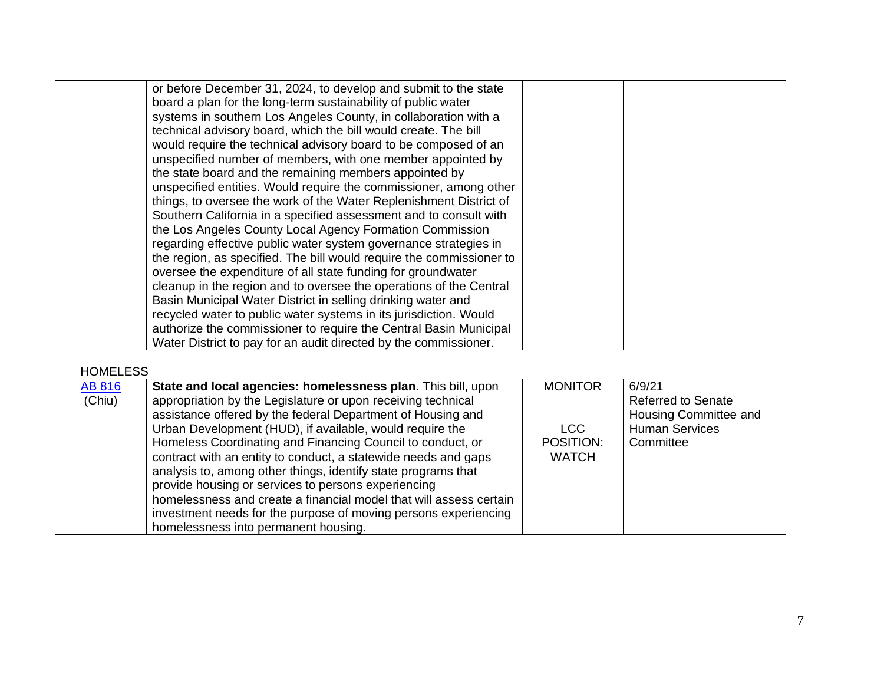| or before December 31, 2024, to develop and submit to the state      |  |
|----------------------------------------------------------------------|--|
| board a plan for the long-term sustainability of public water        |  |
| systems in southern Los Angeles County, in collaboration with a      |  |
| technical advisory board, which the bill would create. The bill      |  |
| would require the technical advisory board to be composed of an      |  |
| unspecified number of members, with one member appointed by          |  |
| the state board and the remaining members appointed by               |  |
| unspecified entities. Would require the commissioner, among other    |  |
| things, to oversee the work of the Water Replenishment District of   |  |
| Southern California in a specified assessment and to consult with    |  |
| the Los Angeles County Local Agency Formation Commission             |  |
| regarding effective public water system governance strategies in     |  |
| the region, as specified. The bill would require the commissioner to |  |
| oversee the expenditure of all state funding for groundwater         |  |
| cleanup in the region and to oversee the operations of the Central   |  |
| Basin Municipal Water District in selling drinking water and         |  |
| recycled water to public water systems in its jurisdiction. Would    |  |
| authorize the commissioner to require the Central Basin Municipal    |  |
| Water District to pay for an audit directed by the commissioner.     |  |
|                                                                      |  |

HOMELESS

| <b>AB 816</b> | State and local agencies: homelessness plan. This bill, upon       | <b>MONITOR</b> | 6/9/21                    |
|---------------|--------------------------------------------------------------------|----------------|---------------------------|
| (Chiu)        | appropriation by the Legislature or upon receiving technical       |                | <b>Referred to Senate</b> |
|               | assistance offered by the federal Department of Housing and        |                | Housing Committee and     |
|               | Urban Development (HUD), if available, would require the           | <b>LCC</b>     | <b>Human Services</b>     |
|               | Homeless Coordinating and Financing Council to conduct, or         | POSITION:      | Committee                 |
|               | contract with an entity to conduct, a statewide needs and gaps     | <b>WATCH</b>   |                           |
|               | analysis to, among other things, identify state programs that      |                |                           |
|               | provide housing or services to persons experiencing                |                |                           |
|               | homelessness and create a financial model that will assess certain |                |                           |
|               | investment needs for the purpose of moving persons experiencing    |                |                           |
|               | homelessness into permanent housing.                               |                |                           |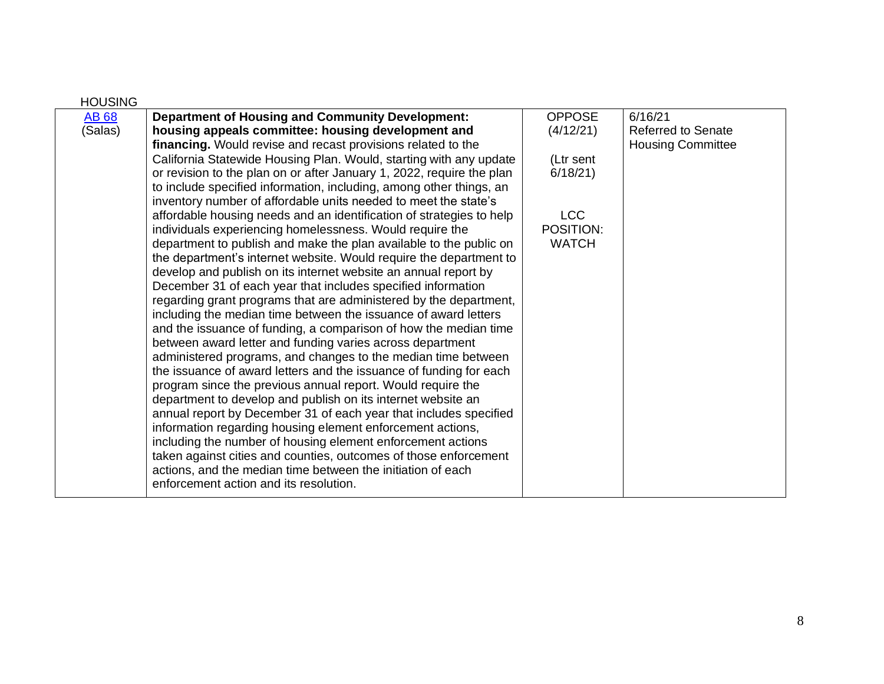| <b>HOUSING</b> |                                                                       |               |                           |
|----------------|-----------------------------------------------------------------------|---------------|---------------------------|
| <b>AB 68</b>   | <b>Department of Housing and Community Development:</b>               | <b>OPPOSE</b> | 6/16/21                   |
| (Salas)        | housing appeals committee: housing development and                    | (4/12/21)     | <b>Referred to Senate</b> |
|                | financing. Would revise and recast provisions related to the          |               | <b>Housing Committee</b>  |
|                | California Statewide Housing Plan. Would, starting with any update    | (Ltr sent     |                           |
|                | or revision to the plan on or after January 1, 2022, require the plan | 6/18/21       |                           |
|                | to include specified information, including, among other things, an   |               |                           |
|                | inventory number of affordable units needed to meet the state's       |               |                           |
|                | affordable housing needs and an identification of strategies to help  | <b>LCC</b>    |                           |
|                | individuals experiencing homelessness. Would require the              | POSITION:     |                           |
|                | department to publish and make the plan available to the public on    | <b>WATCH</b>  |                           |
|                | the department's internet website. Would require the department to    |               |                           |
|                | develop and publish on its internet website an annual report by       |               |                           |
|                | December 31 of each year that includes specified information          |               |                           |
|                | regarding grant programs that are administered by the department,     |               |                           |
|                | including the median time between the issuance of award letters       |               |                           |
|                | and the issuance of funding, a comparison of how the median time      |               |                           |
|                | between award letter and funding varies across department             |               |                           |
|                | administered programs, and changes to the median time between         |               |                           |
|                | the issuance of award letters and the issuance of funding for each    |               |                           |
|                | program since the previous annual report. Would require the           |               |                           |
|                | department to develop and publish on its internet website an          |               |                           |
|                | annual report by December 31 of each year that includes specified     |               |                           |
|                | information regarding housing element enforcement actions,            |               |                           |
|                | including the number of housing element enforcement actions           |               |                           |
|                | taken against cities and counties, outcomes of those enforcement      |               |                           |
|                | actions, and the median time between the initiation of each           |               |                           |
|                | enforcement action and its resolution.                                |               |                           |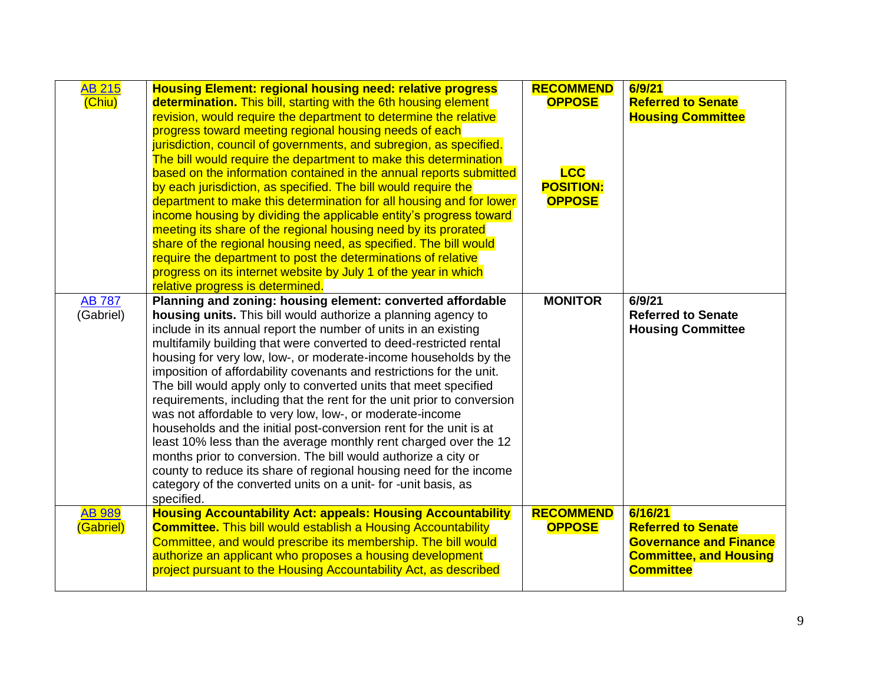| <b>AB 215</b><br>(Chiu)    | <b>Housing Element: regional housing need: relative progress</b><br>determination. This bill, starting with the 6th housing element<br>revision, would require the department to determine the relative<br>progress toward meeting regional housing needs of each<br>jurisdiction, council of governments, and subregion, as specified.<br>The bill would require the department to make this determination<br>based on the information contained in the annual reports submitted<br>by each jurisdiction, as specified. The bill would require the<br>department to make this determination for all housing and for lower                                                                                                                                                                                                                                                                                                                                                                   | <b>RECOMMEND</b><br><b>OPPOSE</b><br><b>LCC</b><br><b>POSITION:</b><br><b>OPPOSE</b> | 6/9/21<br><b>Referred to Senate</b><br><b>Housing Committee</b>                                                            |
|----------------------------|----------------------------------------------------------------------------------------------------------------------------------------------------------------------------------------------------------------------------------------------------------------------------------------------------------------------------------------------------------------------------------------------------------------------------------------------------------------------------------------------------------------------------------------------------------------------------------------------------------------------------------------------------------------------------------------------------------------------------------------------------------------------------------------------------------------------------------------------------------------------------------------------------------------------------------------------------------------------------------------------|--------------------------------------------------------------------------------------|----------------------------------------------------------------------------------------------------------------------------|
|                            | income housing by dividing the applicable entity's progress toward<br>meeting its share of the regional housing need by its prorated<br>share of the regional housing need, as specified. The bill would<br>require the department to post the determinations of relative<br>progress on its internet website by July 1 of the year in which<br>relative progress is determined.                                                                                                                                                                                                                                                                                                                                                                                                                                                                                                                                                                                                             |                                                                                      |                                                                                                                            |
| <b>AB 787</b><br>(Gabriel) | Planning and zoning: housing element: converted affordable<br>housing units. This bill would authorize a planning agency to<br>include in its annual report the number of units in an existing<br>multifamily building that were converted to deed-restricted rental<br>housing for very low, low-, or moderate-income households by the<br>imposition of affordability covenants and restrictions for the unit.<br>The bill would apply only to converted units that meet specified<br>requirements, including that the rent for the unit prior to conversion<br>was not affordable to very low, low-, or moderate-income<br>households and the initial post-conversion rent for the unit is at<br>least 10% less than the average monthly rent charged over the 12<br>months prior to conversion. The bill would authorize a city or<br>county to reduce its share of regional housing need for the income<br>category of the converted units on a unit- for -unit basis, as<br>specified. | <b>MONITOR</b>                                                                       | 6/9/21<br><b>Referred to Senate</b><br><b>Housing Committee</b>                                                            |
| <b>AB 989</b><br>(Gabriel) | <b>Housing Accountability Act: appeals: Housing Accountability</b><br><b>Committee.</b> This bill would establish a Housing Accountability<br>Committee, and would prescribe its membership. The bill would<br>authorize an applicant who proposes a housing development<br>project pursuant to the Housing Accountability Act, as described                                                                                                                                                                                                                                                                                                                                                                                                                                                                                                                                                                                                                                                 | <b>RECOMMEND</b><br><b>OPPOSE</b>                                                    | 6/16/21<br><b>Referred to Senate</b><br><b>Governance and Finance</b><br><b>Committee, and Housing</b><br><b>Committee</b> |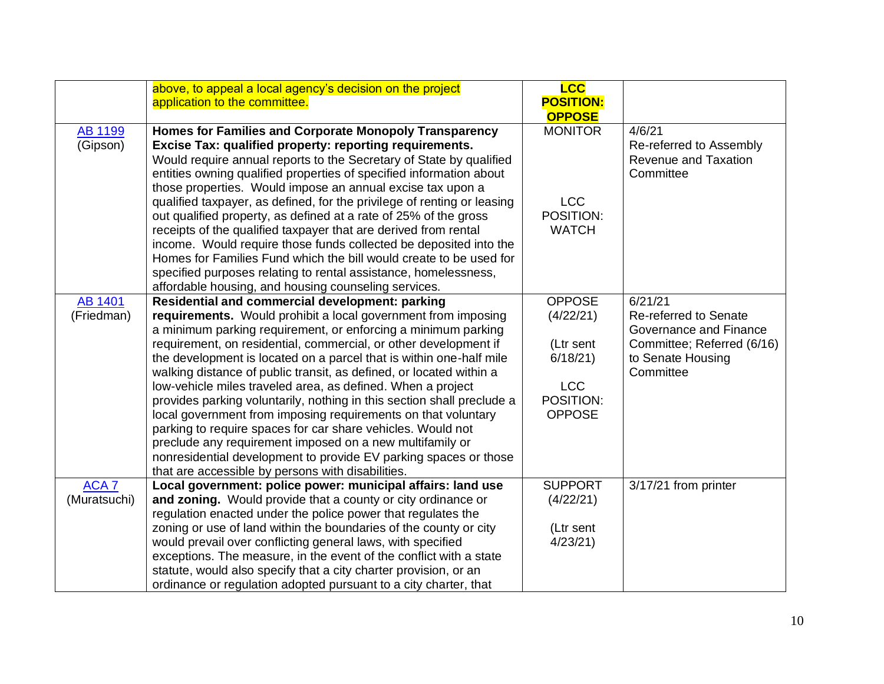|                  | above, to appeal a local agency's decision on the project<br>application to the committee.                                           | <b>LCC</b><br><b>POSITION:</b><br><b>OPPOSE</b> |                            |
|------------------|--------------------------------------------------------------------------------------------------------------------------------------|-------------------------------------------------|----------------------------|
| <b>AB 1199</b>   | Homes for Families and Corporate Monopoly Transparency                                                                               | <b>MONITOR</b>                                  | 4/6/21                     |
| (Gipson)         | Excise Tax: qualified property: reporting requirements.                                                                              |                                                 | Re-referred to Assembly    |
|                  | Would require annual reports to the Secretary of State by qualified                                                                  |                                                 | Revenue and Taxation       |
|                  | entities owning qualified properties of specified information about                                                                  |                                                 | Committee                  |
|                  | those properties. Would impose an annual excise tax upon a                                                                           |                                                 |                            |
|                  | qualified taxpayer, as defined, for the privilege of renting or leasing                                                              | <b>LCC</b>                                      |                            |
|                  | out qualified property, as defined at a rate of 25% of the gross                                                                     | POSITION:<br><b>WATCH</b>                       |                            |
|                  | receipts of the qualified taxpayer that are derived from rental<br>income. Would require those funds collected be deposited into the |                                                 |                            |
|                  | Homes for Families Fund which the bill would create to be used for                                                                   |                                                 |                            |
|                  | specified purposes relating to rental assistance, homelessness,                                                                      |                                                 |                            |
|                  | affordable housing, and housing counseling services.                                                                                 |                                                 |                            |
| AB 1401          | Residential and commercial development: parking                                                                                      | <b>OPPOSE</b>                                   | 6/21/21                    |
| (Friedman)       | requirements. Would prohibit a local government from imposing                                                                        | (4/22/21)                                       | Re-referred to Senate      |
|                  | a minimum parking requirement, or enforcing a minimum parking                                                                        |                                                 | Governance and Finance     |
|                  | requirement, on residential, commercial, or other development if                                                                     | (Ltr sent                                       | Committee; Referred (6/16) |
|                  | the development is located on a parcel that is within one-half mile                                                                  | 6/18/21                                         | to Senate Housing          |
|                  | walking distance of public transit, as defined, or located within a                                                                  |                                                 | Committee                  |
|                  | low-vehicle miles traveled area, as defined. When a project                                                                          | <b>LCC</b>                                      |                            |
|                  | provides parking voluntarily, nothing in this section shall preclude a                                                               | POSITION:                                       |                            |
|                  | local government from imposing requirements on that voluntary                                                                        | <b>OPPOSE</b>                                   |                            |
|                  | parking to require spaces for car share vehicles. Would not                                                                          |                                                 |                            |
|                  | preclude any requirement imposed on a new multifamily or<br>nonresidential development to provide EV parking spaces or those         |                                                 |                            |
|                  | that are accessible by persons with disabilities.                                                                                    |                                                 |                            |
| ACA <sub>7</sub> | Local government: police power: municipal affairs: land use                                                                          | <b>SUPPORT</b>                                  | 3/17/21 from printer       |
| (Muratsuchi)     | and zoning. Would provide that a county or city ordinance or                                                                         | (4/22/21)                                       |                            |
|                  | regulation enacted under the police power that regulates the                                                                         |                                                 |                            |
|                  | zoning or use of land within the boundaries of the county or city                                                                    | (Ltr sent                                       |                            |
|                  | would prevail over conflicting general laws, with specified                                                                          | 4/23/21                                         |                            |
|                  | exceptions. The measure, in the event of the conflict with a state                                                                   |                                                 |                            |
|                  | statute, would also specify that a city charter provision, or an                                                                     |                                                 |                            |
|                  | ordinance or regulation adopted pursuant to a city charter, that                                                                     |                                                 |                            |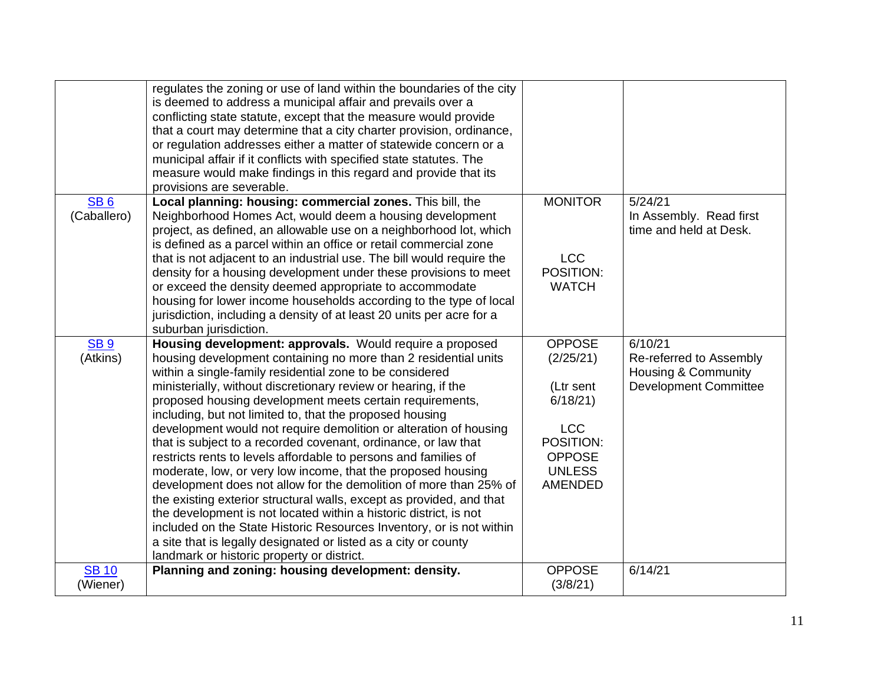|                                | regulates the zoning or use of land within the boundaries of the city<br>is deemed to address a municipal affair and prevails over a<br>conflicting state statute, except that the measure would provide<br>that a court may determine that a city charter provision, ordinance,<br>or regulation addresses either a matter of statewide concern or a<br>municipal affair if it conflicts with specified state statutes. The<br>measure would make findings in this regard and provide that its<br>provisions are severable.                                                                                                                                                                                                                                                                                                                                                                                                                                                                                                                                           |                                                                                                                                   |                                                                                                      |
|--------------------------------|------------------------------------------------------------------------------------------------------------------------------------------------------------------------------------------------------------------------------------------------------------------------------------------------------------------------------------------------------------------------------------------------------------------------------------------------------------------------------------------------------------------------------------------------------------------------------------------------------------------------------------------------------------------------------------------------------------------------------------------------------------------------------------------------------------------------------------------------------------------------------------------------------------------------------------------------------------------------------------------------------------------------------------------------------------------------|-----------------------------------------------------------------------------------------------------------------------------------|------------------------------------------------------------------------------------------------------|
| SB <sub>6</sub><br>(Caballero) | Local planning: housing: commercial zones. This bill, the<br>Neighborhood Homes Act, would deem a housing development<br>project, as defined, an allowable use on a neighborhood lot, which<br>is defined as a parcel within an office or retail commercial zone<br>that is not adjacent to an industrial use. The bill would require the<br>density for a housing development under these provisions to meet<br>or exceed the density deemed appropriate to accommodate<br>housing for lower income households according to the type of local<br>jurisdiction, including a density of at least 20 units per acre for a<br>suburban jurisdiction.                                                                                                                                                                                                                                                                                                                                                                                                                      | <b>MONITOR</b><br><b>LCC</b><br>POSITION:<br><b>WATCH</b>                                                                         | 5/24/21<br>In Assembly. Read first<br>time and held at Desk.                                         |
| <b>SB9</b><br>(Atkins)         | Housing development: approvals. Would require a proposed<br>housing development containing no more than 2 residential units<br>within a single-family residential zone to be considered<br>ministerially, without discretionary review or hearing, if the<br>proposed housing development meets certain requirements,<br>including, but not limited to, that the proposed housing<br>development would not require demolition or alteration of housing<br>that is subject to a recorded covenant, ordinance, or law that<br>restricts rents to levels affordable to persons and families of<br>moderate, low, or very low income, that the proposed housing<br>development does not allow for the demolition of more than 25% of<br>the existing exterior structural walls, except as provided, and that<br>the development is not located within a historic district, is not<br>included on the State Historic Resources Inventory, or is not within<br>a site that is legally designated or listed as a city or county<br>landmark or historic property or district. | <b>OPPOSE</b><br>(2/25/21)<br>(Ltr sent<br>6/18/21<br><b>LCC</b><br>POSITION:<br><b>OPPOSE</b><br><b>UNLESS</b><br><b>AMENDED</b> | 6/10/21<br>Re-referred to Assembly<br><b>Housing &amp; Community</b><br><b>Development Committee</b> |
| <b>SB 10</b><br>(Wiener)       | Planning and zoning: housing development: density.                                                                                                                                                                                                                                                                                                                                                                                                                                                                                                                                                                                                                                                                                                                                                                                                                                                                                                                                                                                                                     | <b>OPPOSE</b><br>(3/8/21)                                                                                                         | 6/14/21                                                                                              |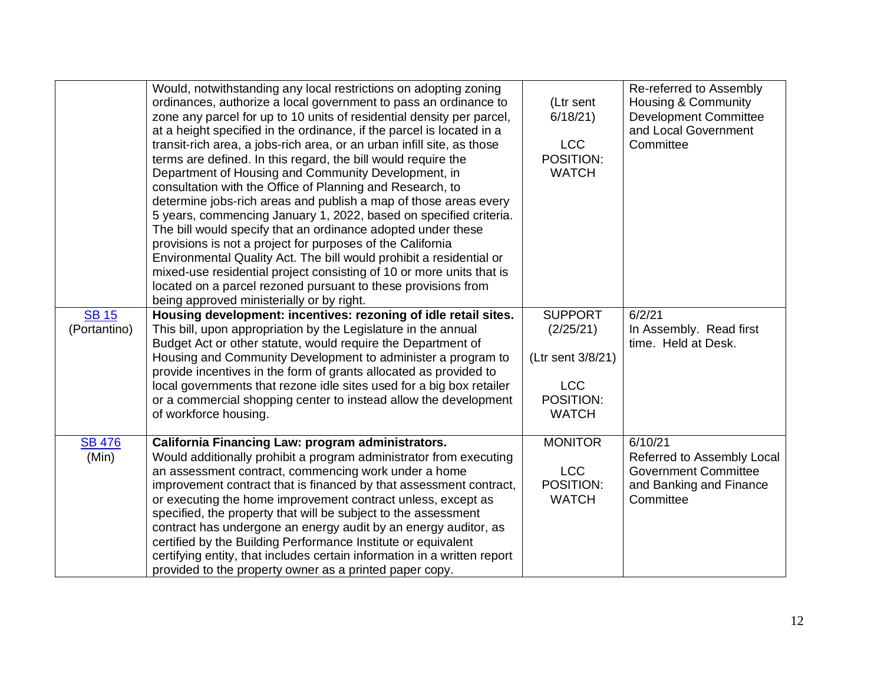| Would, notwithstanding any local restrictions on adopting zoning<br>ordinances, authorize a local government to pass an ordinance to<br>(Ltr sent<br>zone any parcel for up to 10 units of residential density per parcel,<br>6/18/21<br>at a height specified in the ordinance, if the parcel is located in a<br><b>LCC</b><br>transit-rich area, a jobs-rich area, or an urban infill site, as those<br>POSITION:<br>terms are defined. In this regard, the bill would require the<br><b>WATCH</b><br>Department of Housing and Community Development, in | Re-referred to Assembly<br><b>Housing &amp; Community</b><br><b>Development Committee</b><br>and Local Government<br>Committee |
|-------------------------------------------------------------------------------------------------------------------------------------------------------------------------------------------------------------------------------------------------------------------------------------------------------------------------------------------------------------------------------------------------------------------------------------------------------------------------------------------------------------------------------------------------------------|--------------------------------------------------------------------------------------------------------------------------------|
| consultation with the Office of Planning and Research, to<br>determine jobs-rich areas and publish a map of those areas every<br>5 years, commencing January 1, 2022, based on specified criteria.<br>The bill would specify that an ordinance adopted under these<br>provisions is not a project for purposes of the California<br>Environmental Quality Act. The bill would prohibit a residential or<br>mixed-use residential project consisting of 10 or more units that is<br>located on a parcel rezoned pursuant to these provisions from            |                                                                                                                                |
| being approved ministerially or by right.                                                                                                                                                                                                                                                                                                                                                                                                                                                                                                                   |                                                                                                                                |
| <b>SB15</b><br>Housing development: incentives: rezoning of idle retail sites.<br><b>SUPPORT</b>                                                                                                                                                                                                                                                                                                                                                                                                                                                            | 6/2/21                                                                                                                         |
| (Portantino)<br>This bill, upon appropriation by the Legislature in the annual<br>(2/25/21)                                                                                                                                                                                                                                                                                                                                                                                                                                                                 | In Assembly. Read first                                                                                                        |
| Budget Act or other statute, would require the Department of<br>Housing and Community Development to administer a program to<br>(Ltr sent 3/8/21)<br>provide incentives in the form of grants allocated as provided to                                                                                                                                                                                                                                                                                                                                      | time. Held at Desk.                                                                                                            |
| <b>LCC</b><br>local governments that rezone idle sites used for a big box retailer                                                                                                                                                                                                                                                                                                                                                                                                                                                                          |                                                                                                                                |
| POSITION:<br>or a commercial shopping center to instead allow the development                                                                                                                                                                                                                                                                                                                                                                                                                                                                               |                                                                                                                                |
| of workforce housing.<br><b>WATCH</b>                                                                                                                                                                                                                                                                                                                                                                                                                                                                                                                       |                                                                                                                                |
| <b>MONITOR</b><br><b>SB 476</b><br>California Financing Law: program administrators.                                                                                                                                                                                                                                                                                                                                                                                                                                                                        | 6/10/21                                                                                                                        |
| (Min)<br>Would additionally prohibit a program administrator from executing                                                                                                                                                                                                                                                                                                                                                                                                                                                                                 | Referred to Assembly Local                                                                                                     |
| <b>LCC</b><br>an assessment contract, commencing work under a home                                                                                                                                                                                                                                                                                                                                                                                                                                                                                          | <b>Government Committee</b>                                                                                                    |
| POSITION:<br>improvement contract that is financed by that assessment contract,                                                                                                                                                                                                                                                                                                                                                                                                                                                                             | and Banking and Finance                                                                                                        |
| <b>WATCH</b><br>or executing the home improvement contract unless, except as                                                                                                                                                                                                                                                                                                                                                                                                                                                                                | Committee                                                                                                                      |
| specified, the property that will be subject to the assessment                                                                                                                                                                                                                                                                                                                                                                                                                                                                                              |                                                                                                                                |
| contract has undergone an energy audit by an energy auditor, as                                                                                                                                                                                                                                                                                                                                                                                                                                                                                             |                                                                                                                                |
| certified by the Building Performance Institute or equivalent<br>certifying entity, that includes certain information in a written report                                                                                                                                                                                                                                                                                                                                                                                                                   |                                                                                                                                |
|                                                                                                                                                                                                                                                                                                                                                                                                                                                                                                                                                             |                                                                                                                                |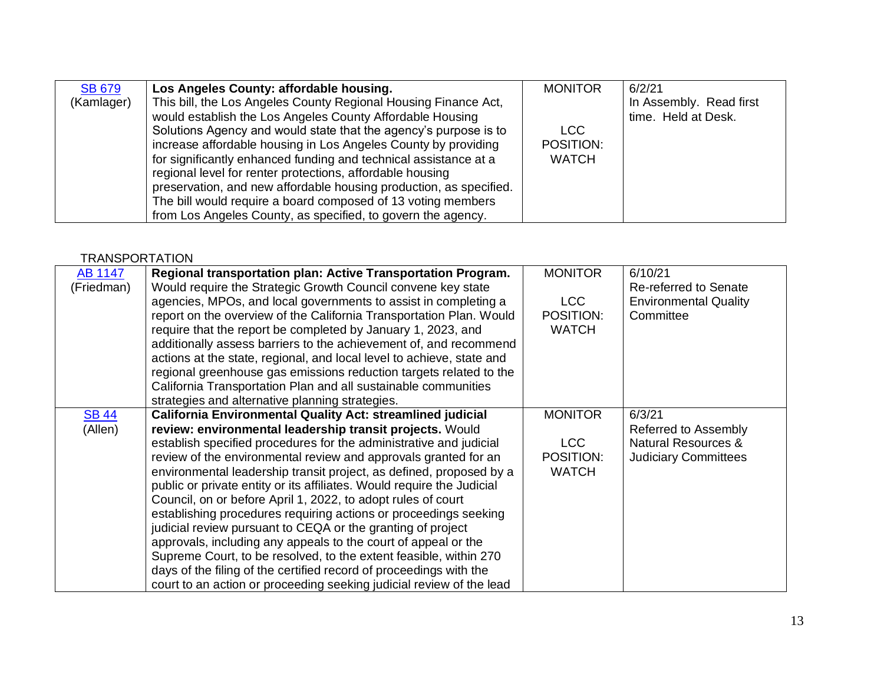| This bill, the Los Angeles County Regional Housing Finance Act,<br>(Kamlager)<br>would establish the Los Angeles County Affordable Housing<br>time. Held at Desk.<br>Solutions Agency and would state that the agency's purpose is to<br>LCC.<br>increase affordable housing in Los Angeles County by providing<br>POSITION: | <b>SB 679</b> | Los Angeles County: affordable housing.                          | <b>MONITOR</b> | 6/2/21                  |
|------------------------------------------------------------------------------------------------------------------------------------------------------------------------------------------------------------------------------------------------------------------------------------------------------------------------------|---------------|------------------------------------------------------------------|----------------|-------------------------|
| regional level for renter protections, affordable housing<br>preservation, and new affordable housing production, as specified.<br>The bill would require a board composed of 13 voting members<br>from Los Angeles County, as specified, to govern the agency.                                                              |               | for significantly enhanced funding and technical assistance at a | <b>WATCH</b>   | In Assembly. Read first |

#### **TRANSPORTATION**

| AB 1147      | Regional transportation plan: Active Transportation Program.           | <b>MONITOR</b> | 6/10/21                        |
|--------------|------------------------------------------------------------------------|----------------|--------------------------------|
| (Friedman)   | Would require the Strategic Growth Council convene key state           |                | Re-referred to Senate          |
|              | agencies, MPOs, and local governments to assist in completing a        | LCC            | <b>Environmental Quality</b>   |
|              | report on the overview of the California Transportation Plan. Would    | POSITION:      | Committee                      |
|              | require that the report be completed by January 1, 2023, and           | <b>WATCH</b>   |                                |
|              | additionally assess barriers to the achievement of, and recommend      |                |                                |
|              | actions at the state, regional, and local level to achieve, state and  |                |                                |
|              |                                                                        |                |                                |
|              | regional greenhouse gas emissions reduction targets related to the     |                |                                |
|              | California Transportation Plan and all sustainable communities         |                |                                |
|              | strategies and alternative planning strategies.                        |                |                                |
| <b>SB 44</b> | <b>California Environmental Quality Act: streamlined judicial</b>      | <b>MONITOR</b> | 6/3/21                         |
| (Allen)      | review: environmental leadership transit projects. Would               |                | Referred to Assembly           |
|              | establish specified procedures for the administrative and judicial     | LCC            | <b>Natural Resources &amp;</b> |
|              | review of the environmental review and approvals granted for an        | POSITION:      | <b>Judiciary Committees</b>    |
|              | environmental leadership transit project, as defined, proposed by a    | <b>WATCH</b>   |                                |
|              | public or private entity or its affiliates. Would require the Judicial |                |                                |
|              | Council, on or before April 1, 2022, to adopt rules of court           |                |                                |
|              | establishing procedures requiring actions or proceedings seeking       |                |                                |
|              | judicial review pursuant to CEQA or the granting of project            |                |                                |
|              | approvals, including any appeals to the court of appeal or the         |                |                                |
|              | Supreme Court, to be resolved, to the extent feasible, within 270      |                |                                |
|              | days of the filing of the certified record of proceedings with the     |                |                                |
|              | court to an action or proceeding seeking judicial review of the lead   |                |                                |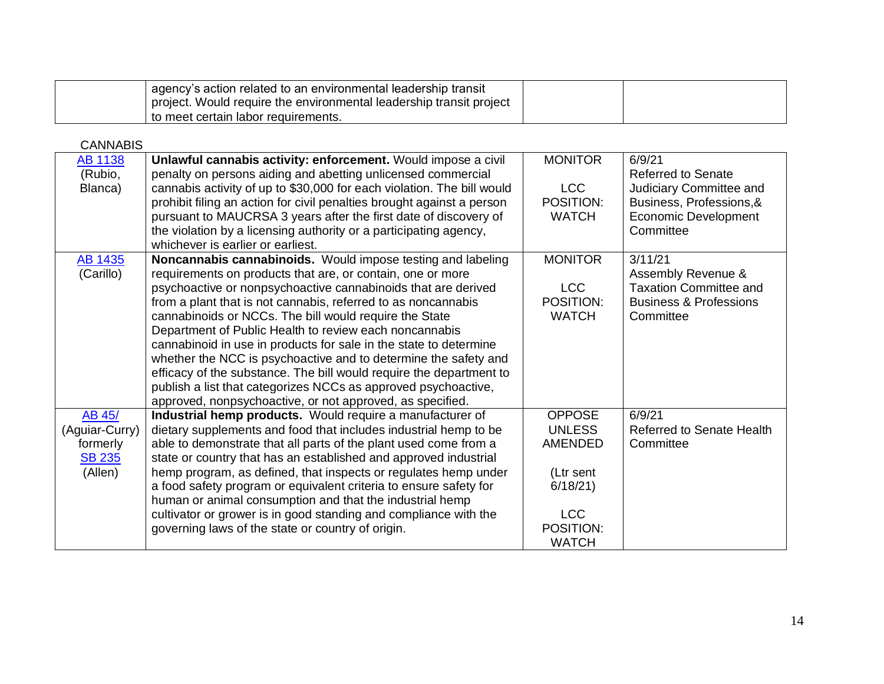| agency's action related to an environmental leadership transit<br>project. Would require the environmental leadership transit project |  |
|---------------------------------------------------------------------------------------------------------------------------------------|--|
| to meet certain labor requirements.                                                                                                   |  |

CANNABIS

| <b>AB 1138</b> | Unlawful cannabis activity: enforcement. Would impose a civil          | <b>MONITOR</b> | 6/9/21                            |
|----------------|------------------------------------------------------------------------|----------------|-----------------------------------|
| (Rubio,        | penalty on persons aiding and abetting unlicensed commercial           |                | Referred to Senate                |
| Blanca)        | cannabis activity of up to \$30,000 for each violation. The bill would | <b>LCC</b>     | Judiciary Committee and           |
|                | prohibit filing an action for civil penalties brought against a person | POSITION:      | Business, Professions, &          |
|                | pursuant to MAUCRSA 3 years after the first date of discovery of       | <b>WATCH</b>   | <b>Economic Development</b>       |
|                | the violation by a licensing authority or a participating agency,      |                | Committee                         |
|                | whichever is earlier or earliest.                                      |                |                                   |
| AB 1435        | Noncannabis cannabinoids. Would impose testing and labeling            | <b>MONITOR</b> | 3/11/21                           |
| (Carillo)      | requirements on products that are, or contain, one or more             |                | Assembly Revenue &                |
|                | psychoactive or nonpsychoactive cannabinoids that are derived          | <b>LCC</b>     | <b>Taxation Committee and</b>     |
|                | from a plant that is not cannabis, referred to as noncannabis          | POSITION:      | <b>Business &amp; Professions</b> |
|                | cannabinoids or NCCs. The bill would require the State                 | <b>WATCH</b>   | Committee                         |
|                | Department of Public Health to review each noncannabis                 |                |                                   |
|                | cannabinoid in use in products for sale in the state to determine      |                |                                   |
|                | whether the NCC is psychoactive and to determine the safety and        |                |                                   |
|                | efficacy of the substance. The bill would require the department to    |                |                                   |
|                | publish a list that categorizes NCCs as approved psychoactive,         |                |                                   |
|                | approved, nonpsychoactive, or not approved, as specified.              |                |                                   |
| AB 45/         | Industrial hemp products. Would require a manufacturer of              | <b>OPPOSE</b>  | 6/9/21                            |
| (Aguiar-Curry) | dietary supplements and food that includes industrial hemp to be       | <b>UNLESS</b>  | <b>Referred to Senate Health</b>  |
| formerly       | able to demonstrate that all parts of the plant used come from a       | <b>AMENDED</b> | Committee                         |
| <b>SB 235</b>  | state or country that has an established and approved industrial       |                |                                   |
| (Allen)        | hemp program, as defined, that inspects or regulates hemp under        | (Ltr sent      |                                   |
|                | a food safety program or equivalent criteria to ensure safety for      | 6/18/21        |                                   |
|                | human or animal consumption and that the industrial hemp               |                |                                   |
|                | cultivator or grower is in good standing and compliance with the       | <b>LCC</b>     |                                   |
|                | governing laws of the state or country of origin.                      | POSITION:      |                                   |
|                |                                                                        | <b>WATCH</b>   |                                   |